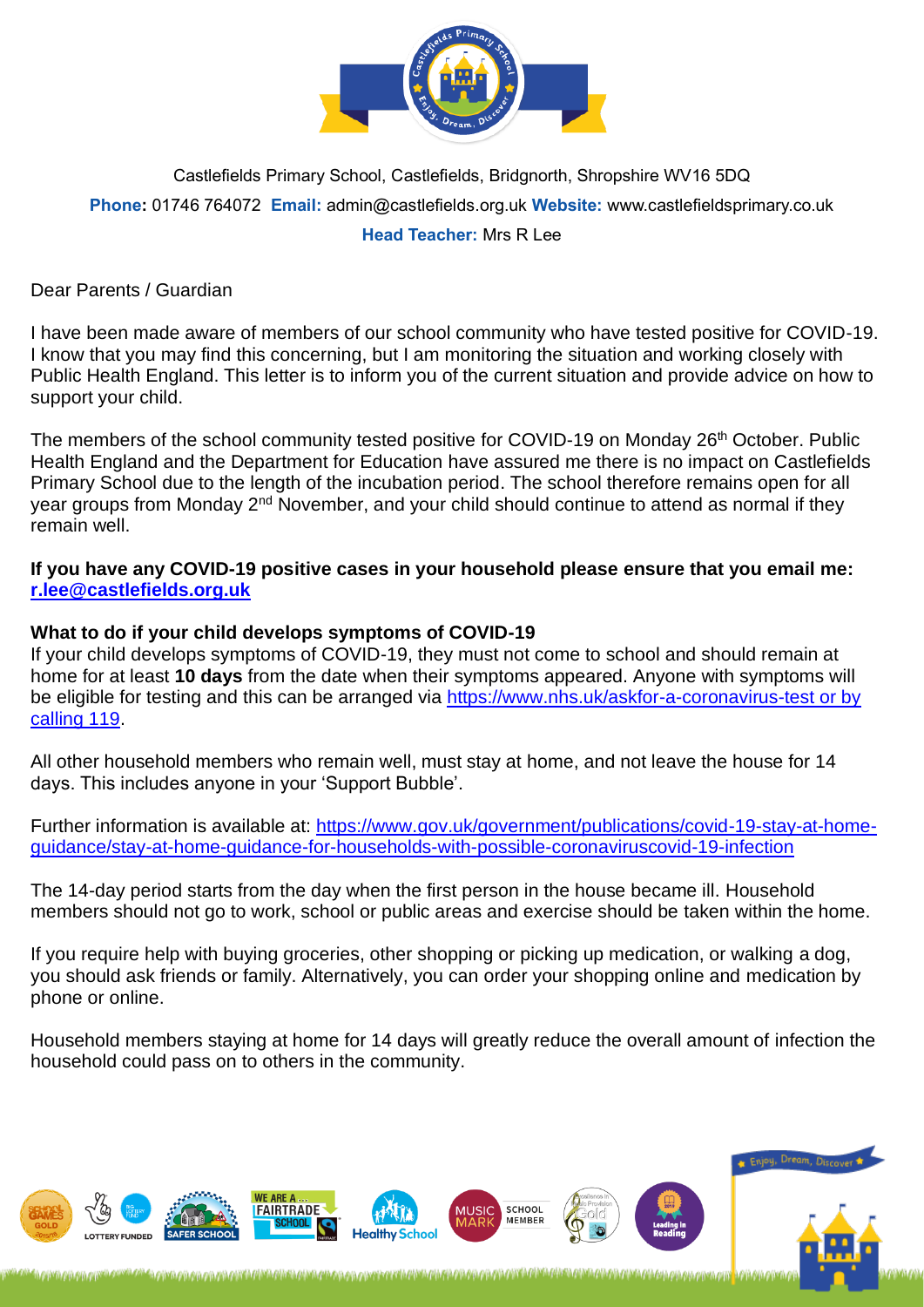

Castlefields Primary School, Castlefields, Bridgnorth, Shropshire WV16 5DQ **Phone:** 01746 764072 **Email:** admin@castlefields.org.uk **Website:** www.castlefieldsprimary.co.uk **Head Teacher:** Mrs R Lee

Dear Parents / Guardian

I have been made aware of members of our school community who have tested positive for COVID-19. I know that you may find this concerning, but I am monitoring the situation and working closely with Public Health England. This letter is to inform you of the current situation and provide advice on how to support your child.

The members of the school community tested positive for COVID-19 on Monday 26<sup>th</sup> October. Public Health England and the Department for Education have assured me there is no impact on Castlefields Primary School due to the length of the incubation period. The school therefore remains open for all year groups from Monday 2<sup>nd</sup> November, and your child should continue to attend as normal if they remain well.

**If you have any COVID-19 positive cases in your household please ensure that you email me: [r.lee@castlefields.org.uk](mailto:r.lee@castlefields.org.uk)**

## **What to do if your child develops symptoms of COVID-19**

If your child develops symptoms of COVID-19, they must not come to school and should remain at home for at least **10 days** from the date when their symptoms appeared. Anyone with symptoms will be eligible for testing and this can be arranged via [https://www.nhs.uk/askfor-a-coronavirus-test or by](https://www.nhs.uk/askfor-a-coronavirus-test%20or%20by%20calling%20119)  [calling 119.](https://www.nhs.uk/askfor-a-coronavirus-test%20or%20by%20calling%20119)

All other household members who remain well, must stay at home, and not leave the house for 14 days. This includes anyone in your 'Support Bubble'.

Further information is available at: [https://www.gov.uk/government/publications/covid-19-stay-at-home](https://www.gov.uk/government/publications/covid-19-stay-at-home-guidance/stay-at-home-guidance-for-households-with-possible-coronaviruscovid-19-infection)[guidance/stay-at-home-guidance-for-households-with-possible-coronaviruscovid-19-infection](https://www.gov.uk/government/publications/covid-19-stay-at-home-guidance/stay-at-home-guidance-for-households-with-possible-coronaviruscovid-19-infection)

The 14-day period starts from the day when the first person in the house became ill. Household members should not go to work, school or public areas and exercise should be taken within the home.

If you require help with buying groceries, other shopping or picking up medication, or walking a dog, you should ask friends or family. Alternatively, you can order your shopping online and medication by phone or online.

Household members staying at home for 14 days will greatly reduce the overall amount of infection the household could pass on to others in the community.